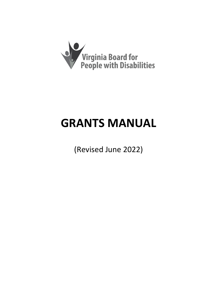

# **GRANTS MANUAL**

(Revised June 2022)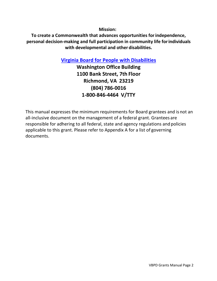**Mission:**

**To create a Commonwealth that advances opportunities forindependence, personal decision-making and full participation in community life forindividuals with developmental and other disabilities.**

**[Virginia Board for People with Disabilities](http://www.vaboard.org/)**

**Washington Office Building 1100 Bank Street, 7th Floor Richmond, VA 23219 (804) 786-0016 1-800-846-4464 V/TTY**

This manual expresses the minimum requirements for Board grantees and is not an all-inclusive document on the management of a federal grant. Grantees are responsible for adhering to all federal, state and agency regulations and policies applicable to this grant. Please refer to Appendix A for a list of governing documents.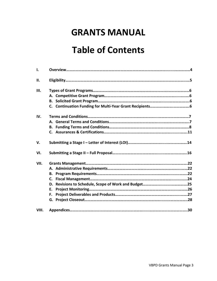# **GRANTS MANUAL**

# **Table of Contents**

| $\mathbf{I}$ . |    |  |
|----------------|----|--|
| II.            |    |  |
| Ш.             |    |  |
|                |    |  |
|                |    |  |
|                |    |  |
| IV.            |    |  |
|                |    |  |
|                |    |  |
|                |    |  |
| V.             |    |  |
| VI.            |    |  |
| VII.           |    |  |
|                |    |  |
|                |    |  |
|                |    |  |
|                |    |  |
|                | Е. |  |
|                | F. |  |
|                |    |  |
| VIII.          |    |  |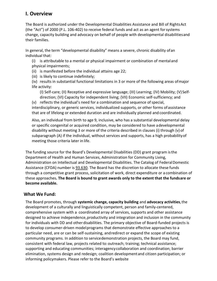# **I. Overview**

The Board is authorized under the Developmental Disabilities Assistance and Bill of RightsAct (the "Act") of 2000 (P.L. 106-402) to receive federal funds and act as an agent forsystems change, capacity building and advocacy on behalf of people with developmental disabilitiesand their families.

In general, the term "developmental disability" means a severe, chronic disability ofan individual that:

(i) is attributable to a mental or physical impairment or combination of mentaland physical impairments;

- (ii) is manifested before the individual attains age 22;
- (iii) is likely to continue indefinitely;

(iv) results in substantial functional limitations in 3 or more of the following areas ofmajor life activity:

(I) Self-care; (II) Receptive and expressive language; (III) Learning; (IV) Mobility; (V) Selfdirection; (VI) Capacity for independent living; (VII) Economic self-sufficiency; and

 $(v)$  reflects the individual's need for a combination and sequence of special, interdisciplinary, or generic services, individualized supports, or other forms of assistance that are of lifelong or extended duration and are individually planned and coordinated.

Also, an individual from birth to age 9, inclusive, who has a substantial developmental delay or specific congenital or acquired condition, may be considered to have adevelopmental disability without meeting 3 or more of the criteria described in clauses (i) through (v) of subparagraph (A) if the individual, without services and supports, has a high probabilityof meeting those criteria later in life.

The funding source for the Board's Developmental Disabilities (DD) grant program isthe Department of Health and Human Services, Administration for Community Living, Administration on Intellectual and Developmental Disabilities. The Catalog of FederalDomestic Assistance (CFDA) number is 93.630. The Board has the discretion to allocate these funds through a competitive grant process, solicitation of work, direct expenditure or a combination of these approaches**. The Board is bound to grant awards only to the extent that the fundsare or become available.**

## **What We Fund:**

The Board promotes, through **systemic change, capacity building** and **advocacy activities**,the development of a culturally and linguistically competent, person and family-centered, comprehensive system with a coordinated array of services, supports and other assistance designed to achieve independence,productivity and integration and inclusion in the community for individuals with DD and otherdisabilities. The primary objective of Board-funded projects is to develop consumer-driven modelprograms that demonstrate effective approaches to a particular need, are or can be self-sustaining, andredirect or expand the scope of existing community programs. In addition to servicedemonstration projects, the Board may fund, consistent with federal law, projects related to: outreach; training; technical assistance; supporting and educating communities; interagencycollaboration and coordination; barrier elimination, systems design and redesign; coalition developmentand citizen participation; or informing policymakers. Please refer to the Board's website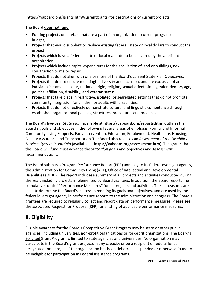### (https://vaboard.org/grants.htm#currentgrants) for descriptions of current projects.

#### The Board **does not fund**:

- **EXIST EXIST 20** Existing projects or services that are a part of an organization's current program or budget;
- **Projects that would supplant or replace existing federal, state or local dollars to conduct the** project;
- **Projects which have a federal, state or local mandate to be delivered by the applicant** organization;
- **Projects which include capital expenditures for the acquisition of land or buildings, new** construction or major repair;
- Projects that do not align with one or more of the Board's current State Plan Objectives;
- **Projects that do not ensure meaningful diversity and inclusion, and are exclusive of an** individual's race, sex, color, national origin, religion, sexual orientation, gender identity, age, political affiliation, disability, and veteran status;
- **Projects that take place in restrictive, isolated, or segregated settings that do not promote** community integration for children or adults with disabilities;
- **Projects that do not effectively demonstrate cultural and linguistic competence through** established organizational policies, structures, procedures and practices.

The Board's five-year *State Plan* (available at **https://vaboard.org/reports.htm**) outlinesthe Board's goals and objectives in the following federal areas of emphasis: Formal and Informal Community Living Supports, Early Intervention, Education, Employment, Healthcare, Housing, Quality Assurance and Transportation.The Board also releases an *Assessment of the Disability Services System in Virginia* (available at **https://vaboard.org/assessment.htm**). The grants that the Board will fund must advance the *StatePlan* goals and objectives and *Assessment* recommendations.

The Board submits a Program Performance Report (PPR) annually to its federal oversight agency, the Administration for Community Living (ACL), Office of Intellectual and Developmental Disabilities (OIDD). The report includesa summary of all projects and activities conducted during the year, including projects implemented by Board grantees. In addition, the Board reports the cumulative total of "Performance Measures" for all projects and activities. These measures are used todetermine the Board's success in meeting its goals and objectives, and are used by the federaloversight agency in performance reports to the administration and congress. The Board's grantees are required to regularly collect and report data on performance measures. Please see the associated Request for Proposal (RFP) for a listing of applicable performance measures.

# **II. Eligibility**

Eligible awardees for the Board's Competitive Grant Program may be state or other public agencies, including universities, non-profit organizations or for-profit organizations. The Board's SolicitedGrant Program is limited to state agencies and universities. No organization may participate inthe Board's grant projects in any capacity or be a recipient of federal funds designated for a project if the organization has been debarred, suspended or otherwise found to be ineligible for participation in Federal assistance programs.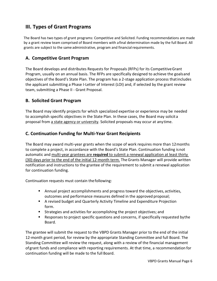# **III. Types of Grant Programs**

The Board has two types of grant programs: Competitive and Solicited. Funding recommendations are made by a grant review team comprised of Board members with afinal determination made by the full Board. All grants are subject to the same administrative, program and financial requirements.

# **A. Competitive Grant Program**

The Board develops and distributes Requests for Proposals (RFPs) for its CompetitiveGrant Program, usually on an annual basis. The RFPs are specifically designed to achieve the goalsand objectives of the Board's State Plan. The program has a 2-stage application process thatincludes the applicant submitting a Phase I-Letter of Interest (LOI) and, if selected by the grant review team, submitting a Phase II - Grant Proposal.

## **B. Solicited Grant Program**

The Board may identify projects for which specialized expertise or experience may be needed to accomplish specific objectives in the State Plan. In these cases, the Board may solicit a proposal from a state agency or university. Solicited proposals may occur at anytime.

## **C. Continuation Funding for Multi-Year Grant Recipients**

The Board may award multi-year grants when the scope of work requires more than 12months to complete a project, in accordance with the Board's State Plan. Continuation funding isnot automatic and multi-year grantees are **required** to submit a renewal application at least thirty (30) days prior to the end of the initial 12-month term. TheGrants Manager will provide written notification and instructions to the grantee of the requirement to submit a renewal application for continuation funding.

Continuation requests must contain thefollowing:

- Annual project accomplishments and progress toward the objectives, activities, outcomes and performance measures defined in the approved proposal;
- A revised budget and Quarterly Activity Timeline and Expenditure Projection form.
- Strategies and activities for accomplishing the project objectives; and
- Responses to project specific questions and concerns, if specifically requested bythe Board.

The grantee will submit the request to the VBPD Grants Manager prior to the end of the initial 12-month grant period, for review by the appropriate Standing Committee and full Board. The Standing Committee will review the request, along with a review of the financial management ofgrant funds and compliance with reporting requirements. At that time, a recommendation for continuation funding will be made to the full Board.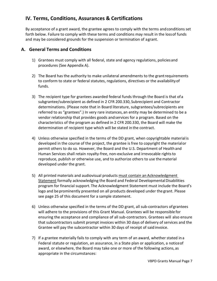# **IV. Terms, Conditions, Assurances & Certifications**

By acceptance of a grant award, the grantee agrees to comply with the terms andconditions set forth below. Failure to comply with these terms and conditions may result in the lossof funds and may be considered grounds for the suspension or termination of agrant.

### **A. General Terms and Conditions**

- 1) Grantees must comply with all federal, state and agency regulations, policiesand procedures (See Appendix A).
- 2) The Board has the authority to make unilateral amendments to the grantrequirements to conform to state or federal statutes, regulations, directives or the availabilityof funds.
- 3) The recipient type for grantees awarded federal funds through the Board is that ofa subgrantee/subrecipient as defined in 2 CFR 200.330, Subrecipient and Contractor determinations. (Please note that in Board literature, subgrantees/subrecipients are referred to as "grantees".) In very rare instances, an entity may be determined to be a vendor relationship that provides goods andservices for a program. Based on the characteristics of the program as defined in 2 CFR 200.330, the Board will make the determination of recipient type which will be stated in the contract.
- 4) Unless otherwise specified in the terms of the DD grant, when copyrightable material is developed in the course of the project, the grantee is free to copyright the materialor permit others to do so. However, the Board and the U.S. Department of Health and Human Services shall retain royalty-free, non-exclusive and irrevocable rightsto reproduce, publish or otherwise use, and to authorize others to use thematerial developed under the grant.
- 5) All printed materials and audiovisual products must contain an Acknowledgment Statement formally acknowledging the Board and Federal Developmental Disabilities program for financial support. The Acknowledgment Statement must include the Board's logo and be prominently presented on all products developed under the grant. Please see page 25 of this document for a sample statement.
- 6) Unless otherwise specified in the terms of the DD grant, all sub-contractors of grantees will adhere to the provisions of this Grant Manual. Grantees will be responsible for ensuring the acceptance and compliance of all sub-contractors. Grantees will also ensure that subcontractors submit prompt invoices within 30 days of delivery of services and the Grantee will pay the subcontractor within 30 days of receipt of saidinvoice.
- 7) If a grantee materially fails to comply with any term of an award, whether stated in a Federal statute or regulation, an assurance, in a State plan or application, a noticeof award, or elsewhere, the Board may take one or more of the following actions, as appropriate in the circumstances: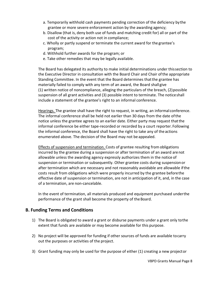- a. Temporarily withhold cash payments pending correction of the deficiency bythe grantee or more severe enforcement action by the awarding agency;
- b. Disallow (that is, deny both use of funds and matching credit for) all or part of the cost of the activity or action not in compliance;
- c. Wholly or partly suspend or terminate the current award for the grantee's program;
- d. Withhold further awards for the program; or
- e. Take other remedies that may be legally available.

The Board has delegated its authority to make initial determinations under thissection to the Executive Director in consultation with the Board Chair and Chair ofthe appropriate Standing Committee. In the event that the Board determines that the grantee has materially failed to comply with any term of an award, the Board shall give  $(1)$  written notice of noncompliance, alleging the particulars of the breach,  $(2)$  possible suspension of all grant activities and (3) possible intent to terminate. The noticeshall include a statement of the grantee's right to an informal conference.

Hearings. The grantee shall have the right to request, in writing, an informal conference. The informal conference shall be held not earlier than 30 days from the date ofthe notice unless the grantee agrees to an earlier date. Either party may request thatthe informal conference be either tape-recorded or recorded by a court reporter. Following the informal conference, the Board shall have the right to take any of theactions enumerated above. The decision of the Board may not be appealed.

Effects of suspension and termination. Costs of grantee resulting fromobligations incurred by the grantee during a suspension or after termination of an award arenot allowable unless the awarding agency expressly authorizes them in the notice of suspension or termination or subsequently. Other grantee costs during suspensionor after termination which are necessary and not reasonably avoidable are allowable ifthe costs result from obligations which were properly incurred by the grantee beforethe effective date of suspension or termination, are not in anticipation of it, and, in the case of a termination, are non-cancelable.

In the event of termination, all materials produced and equipment purchased underthe performance of the grant shall become the property of the Board.

### **B. Funding Terms and Conditions**

- 1) The Board is obligated to award a grant or disburse payments under a grant only tothe extent that funds are available or may become available for this purpose.
- 2) No project will be approved for funding if other sources of funds are available tocarry out the purposes or activities of the project.
- 3) Grant funding may only be used for the purpose of either (1) creating a new projector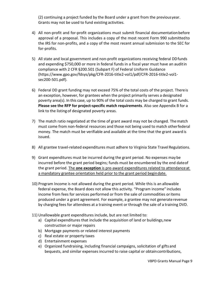(2) continuing a project funded by the Board under a grant from the previousyear. Grants may not be used to fund existing activities.

- 4) All non-profit and for-profit organizations must submit financial documentationbefore approval of a proposal. This includes a copy of the most recent Form 990 submittedto the IRS for non-profits, and a copy of the most recent annual submission to the SEC for for-profits.
- 5) All state and local government and non-profit organizations receiving federal DDfunds and expending \$750,000 or more in federal funds in a fiscal year must have an auditin compliance with 2 CFR §200.501 (Subpart F) of Federal Uniform Guidance (https://www.gpo.gov/fdsys/pkg/CFR-2016-title2-vol1/pdf/CFR-2016-title2-vol1 sec200-501.pdf).
- 6) Federal DD grant funding may not exceed 75% of the total costs of the project. Thereis an exception, however, for grantees when the project primarily serves a designated poverty area(s). In this case, up to 90% of the total costs may be charged to grant funds. **Please see the RFP for project-specific match requirements**. Also see Appendix B for a link to the listingof designated poverty areas.
- 7) The match ratio negotiated at the time of grant award may not be changed. Thematch must come from non-federal resources and those not being used to match otherfederal money. The match must be verifiable and available at the time that the grant award is issued.
- 8) All grantee travel-related expenditures must adhere to Virginia State Travel Regulations.
- 9) Grant expenditures must be incurred during the grant period. No expenses may be incurred before the grant period begins; funds must be encumbered by the end dateof the grant period. The **one exception** is pre-award expenditures related to attendanceat a mandatory grantee orientation held prior to the grant period begindate.
- 10) Program Income is not allowed during the grant period. While this is an allowable federal expense, the Board does not allow this activity. "Program income" includes income from fees for services performed or from the sale of commodities oritems produced under a grant agreement. For example, a grantee may not generaterevenue by charging fees for attendees at a training event or through the sale of a training DVD.
- 11) Unallowable grant expenditures include, but are not limited to:
	- a) Capital expenditures that include the acquisition of land or buildings, new construction or major repairs
	- b) Mortgage payments or related interest payments
	- c) Real estate or property taxes
	- d) Entertainment expenses
	- e) Organized fundraising, including financial campaigns, solicitation of gifts and bequests, and similar expenses incurred to raise capital or obtaincontributions,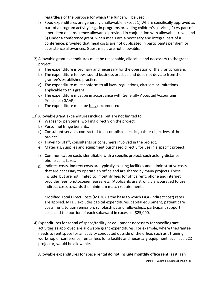regardless of the purpose for which the funds will be used

- f) Food expenditures are generally unallowable, except 1) Where specifically approved as part of a program activity, e.g., in programs providing children's services; 2) As part of a per diem or subsistence allowance provided in conjunction with allowable travel; and 3) Under a conference grant, when meals are a necessary and integral part of a conference, provided that meal costs are not duplicated in participants per diem or subsistence allowances. Guest meals are not allowable.
- 12) Allowable grant expenditures must be reasonable, allocable and necessary to thegrant project:
	- a) The expenditure is ordinary and necessary for the operation of the grant program.
	- b) The expenditure follows sound business practice and does not deviate fromthe grantee's established practice.
	- c) The expenditure must conform to all laws, regulations, circulars orlimitations applicable to this grant.
	- d) The expenditure must be in accordance with Generally AcceptedAccounting Principles (GAAP).
	- e) The expenditure must be fully documented.
- 13) Allowable grant expenditures include, but are not limited to:
	- a) Wages for personnel working directly on the project.
	- b) Personnel fringe benefits.
	- c) Consultant services contracted to accomplish specific goals or objectives ofthe project.
	- d) Travel for staff, consultants or consumers involved in the project.
	- e) Materials, supplies and equipment purchased directly for use in a specificproject.
	- f) Communication costs identifiable with a specific project, such aslong-distance phone calls, faxes.
	- g) Indirect costs. Indirect costs are typically existing facilities and administrativecosts that are necessary to operate an office and are shared by many projects. These include, but are not limited to, monthly fees for office rent, phone andinternet provider fees, photocopier leases, etc. (Applicants are strongly encouraged to use indirect costs towards the minimum match requirements.)

Modified Total Direct Costs (MTDC) is the base to which F&A (indirect cost) rates are applied. MTDC excludes capital expenditures, capital equipment, patient care costs, rent, tuition remission, scholarships and fellowships, participant support costs and the portion of each subaward in excess of \$25,000.

14) Expenditures for rental of space/facility or equipment necessary for specific grant activities as approved are allowable grant expenditures. For example, where the grantee needs to rent space for an activity conducted outside of the office, such as atraining workshop or conference, rental fees for a facility and necessary equipment, such asa LCD projector, would be allowable.

Allowable expenditures for space rental **do not include monthly office rent**, as it isan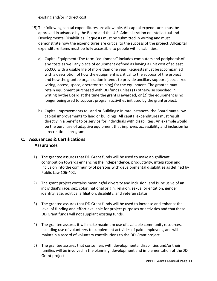existing and/or indirect cost.

- 15) The following capital expenditures are allowable. All capital expenditures must be approved in advance by the Board and the U.S. Administration on Intellectual and Developmental Disabilities. Requests must be submitted in writing and must demonstrate how the expenditures are critical to the success of the project. All capital expenditure items must be fully accessible to people with disabilities.
	- a) Capital Equipment: The term "equipment" includes computers and peripheralsof any costs as well any piece of equipment defined as having a unit cost of atleast \$5,000 with a usable life of more than one year. Requests must be accompanied with a description of how the equipment is critical to the success of the project and how the grantee organization intends to provide ancillary support(specialized wiring, access, space, operator training) for the equipment. The grantee may retain equipment purchased with DD funds unless (1) otherwise specified in writing bythe Board at the time the grant is awarded, or (2) the equipment is no longer beingused to support program activities initiated by the grantproject.
	- b) Capital Improvements to Land or Buildings: In rare instances, the Board may allow capital improvements to land or buildings. All capital expenditures mustresult directly in a benefit to or service for individuals with disabilities. An examplewould be the purchase of adaptive equipment that improves accessibility and inclusionfor a recreational program.

# **C. Assurances & Certifications Assurances**

- 1) The grantee assures that DD Grant funds will be used to make a significant contribution towards enhancing the independence, productivity, integration and inclusion into the community of persons with developmental disabilities as defined by Public Law 106-402.
- 2) The grant project contains meaningful diversity and inclusion, and is inclusive of an individual's race, sex, color, national origin, religion, sexual orientation, gender identity, age, political affiliation, disability, and veteran status.
- 3) The grantee assures that DD Grant funds will be used to increase and enhancethe level of funding and effort available for project purposes or activities and thatthese DD Grant funds will not supplant existing funds.
- 4) The grantee assures it will make maximum use of available community resources, including use of volunteers to supplement activities of paid employees, and will maintain a record of voluntary contributions to the DD Grant project.
- 5) The grantee assures that consumers with developmental disabilities and/ortheir families will be involved in the planning, development and implementation of theDD Grant project.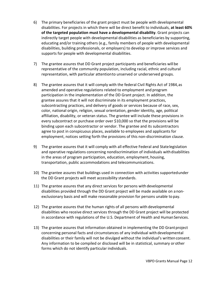- 6) The primary beneficiaries of the grant project must be people with developmental disabilities. For projects in which there will be direct benefit to individuals, **at least 60% of the targeted population must have a developmental disability**. Grant projects can indirectly target people with developmental disabilities as beneficiaries by supporting, educating and/or training others (e.g., family members of people with developmental disabilities, building professionals, or employers) to develop or improve services and supports for people with developmental disabilities.
- 7) The grantee assures that DD Grant project participants and beneficiaries will be representative of the community population, including racial, ethnic and cultural representation, with particular attentionto unserved or underserved groups.
- 8) The grantee assures that it will comply with the federal Civil Rights Act of 1984,as amended and operative regulations related to employment and program participation in the implementation of the DD Grant project. In addition, the grantee assures that it will not discriminate in its employment practices, subcontracting practices, and delivery of goods or services because of race, sex, color, national origin, religion, sexual orientation, gender identity, age, political affiliation, disability, or veteran status. The grantee will include these provisions in every subcontract or purchase order over \$10,000 so that the provisions will be binding upon each subcontractor or vendor. The grantee and its subcontractors agree to post in conspicuous places, available to employees and applicants for employment, notices setting forth the provisions of this non-discrimination clause.
- 9) The grantee assures that it will comply with all effective Federal and Statelegislation and operative regulations concerning nondiscrimination of individuals withdisabilities in the areas of program participation, education, employment, housing, transportation, public accommodations and telecommunications.
- 10) The grantee assures that buildings used in connection with activities supportedunder the DD Grant projects will meet accessibility standards.
- 11) The grantee assures that any direct services for persons with developmental disabilities provided through the DD Grant project will be made available on anonexclusionary basis and will make reasonable provision for persons unable to pay.
- 12) The grantee assures that the human rights of all persons with developmental disabilities who receive direct services through the DD Grant project will be protected in accordance with regulations of the U.S. Department of Health and Human Services.
- 13) The grantee assures that information obtained in implementing the DD Grantproject concerning personal facts and circumstances of any individual with developmental disabilities or their family will not be divulged without the individual's writtenconsent. Any information to be compiled or disclosed will be in statistical, summary orother forms which do not identify particular individuals.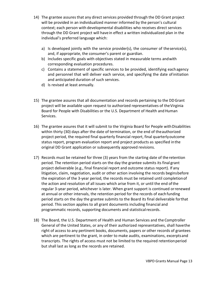- 14) The grantee assures that any direct services provided through the DD Grant project will be provided in an individualized manner informed by the person's cultural context; each person with developmental disabilities who receives direct services through the DD Grant project will havein effect a written individualized plan in the individual's preferred language which:
	- a) Is developed jointly with the service provider(s), the consumer of theservice(s), and, if appropriate, the consumer's parent or guardian.
	- b) Includes specific goals with objectives stated in measurable terms andwith corresponding evaluation procedures.
	- c) Contains a statement of specific services to be provided, identifying eachagency and personnel that will deliver each service, and specifying the date ofinitiation and anticipated duration of such services.
	- d) Is revised at least annually.
- 15) The grantee assures that all documentation and records pertaining to the DDGrant project will be available upon request to authorized representatives of theVirginia Board for People with Disabilities or the U.S. Department of Health and Human Services.
- 16) The grantee assures that it will submit to the Virginia Board for People withDisabilities within thirty (30) days after the date of termination, or the end of theauthorized project period, the required final quarterly financial report, final quarterlyoutcome status report, program evaluation report and project products as specified inthe original DD Grant application or subsequently approved revisions.
- 17) Records must be retained for three (3) years from the starting date of the retention period. The retention period starts on the day the grantee submits its final grant project deliverable (e.g., final financial report and outcome status report). If any litigation, claim, negotiation, audit or other action involving the records beginsbefore the expiration of the 3-year period, the records must be retained until completionof the action and resolution of all issues which arise from it, or until the end ofthe regular 3-year period, whichever is later. When grant support is continued orrenewed at annual or other intervals, the retention period for the records of eachfunding period starts on the day the grantee submits to the Board its final deliverable forthat period. This section applies to all grant documents including financial and programmatic records, supporting documents and statisticalrecords.
- 18) The Board, the U.S. Department of Health and Human Services and the Comptroller General of the United States, or any of their authorized representatives, shall havethe right of access to any pertinent books, documents, papers or other records of grantees which are pertinent to the grant, in order to make audits, examinations, excerptsand transcripts. The rights of access must not be limited to the required retentionperiod but shall last as long as the records are retained.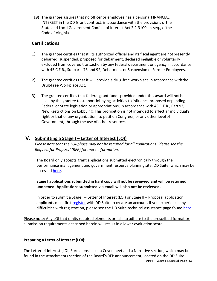19) The grantee assures that no officer or employee has a personal FINANCIAL INTEREST in the DD Grant contract, in accordance with the provisions ofthe State and Local Government Conflict of Interest Act 2.2-3100, et seq., ofthe Code of Virginia.

## **Certifications**

- 1) The grantee certifies that it, its authorized official and its fiscal agent are notpresently debarred, suspended, proposed for debarment, declared ineligible or voluntarily excluded from covered transaction by any federal department or agency in accordance with 45 C.F.R., Subparts 73 and 92, Debarment or Suspension of Former Employees.
- 2) The grantee certifies that it will provide a drug-free workplace in accordance withthe Drug-Free Workplace Act.
- 3) The grantee certifies that federal grant funds provided under this award will notbe used by the grantee to support lobbying activities to influence proposed orpending Federal or State legislation or appropriations, in accordance with 45 C.F.R., Part 93, New Restrictions on Lobbying. This prohibition is not intended to affect anindividual's right or that of any organization, to petition Congress, or any other level of Government, through the use of other resources.

# **V. Submitting a Stage I – Letter of Interest (LOI)**

*Please note that the LOI-phase may not be required for all applications. Please see the Request for Proposal (RFP) for more information.* 

The Board only accepts grant applications submitted electronically through the performance management and government resource planning site, DD Suite, which may be accessed [here.](https://www.ddsuite.org/)

**Stage I applications submitted in hard copy will not be reviewed and will be returned unopened. Applications submitted via email will also not be reviewed.**

In order to submit a Stage I – Letter of Interest (LOI) or Stage II – Proposal application, applicants must first [register](https://www.ddsuite.org/users/register) with DD Suite to create an account. If you experience any difficulties with registration, please see the DD Suite technical assistance page found [here.](https://www.ddsuite.org/TA)

Please note: Any LOI that omits required elements or fails to adhere to the prescribed format or submission requirements described herein will result in a lower evaluation score.

### **Preparing a Letter of Interest (LOI):**

VBPD Grants Manual Page 14 The Letter of Interest (LOI) Form consists of a Coversheet and a Narrative section, which may be found in the Attachments section of the Board's RFP announcement, located on the DD Suite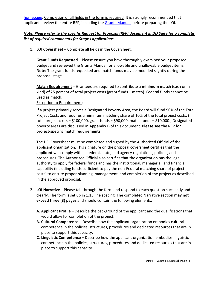[homepage.](https://www.ddsuite.org/) Completion of all fields in the form is required. It is strongly recommended that applicants review the entire RFP, including the [Grants Manual,](https://vaboard.org/grants.htm#administration) before preparing the LOI.

#### *Note: Please refer to the specific Request for Proposal (RFP) document in DD Suite for a complete list of required components for Stage I applications.*

1. **LOI Coversheet** – Complete all fields in the Coversheet:

**Grant Funds Requested** – Please ensure you have thoroughly examined your proposed budget and reviewed the Grants Manual for allowable and unallowable budget items. **Note:** The grant funds requested and match funds may be modified slightly during the proposal stage.

**Match Requirement ─** Grantees are required to contribute a **minimum match** (cash or in kind) of 25 percent of total project costs (grant funds + match). Federal funds cannot be used as match.

#### Exception to Requirement:

If a project primarily serves a Designated Poverty Area, the Board will fund 90% of the Total Project Costs and requires a minimum matching share of 10% of the total project costs. (If total project costs = \$100,000, grant funds = \$90,000, match funds = \$10,000.) Designated poverty areas are discussed in **Appendix B** of this document. **Please see the RFP for project-specific match requirements.** 

The LOI Coversheet must be completed and signed by the Authorized Official of the applicant organization. This signature on the proposal coversheet certifies that the applicant will comply with all federal, state, and agency regulations, policies, and procedures. The Authorized Official also certifies that the organization has the legal authority to apply for federal funds and has the institutional, managerial, and financial capability (including funds sufficient to pay the non-Federal matching share of project costs) to ensure proper planning, management, and completion of the project as described in the approved proposal.

- 2. **LOI Narrative**—Please tab through the form and respond to each question succinctly and clearly. The form is set up in 1.15 line spacing. The completed Narrative section **may not exceed three (3) pages** and should contain the following elements:
	- **A. Applicant Profile**  Describe the background of the applicant and the qualifications that would allow for completion of the project.
	- **B. Cultural Competence** Describe how the applicant organization embodies cultural competence in the policies, structures, procedures and dedicated resources that are in place to support this capacity.
	- **C. Linguistic Competence –** Describe how the applicant organization embodies linguistic competence in the policies, structures, procedures and dedicated resources that are in place to support this capacity.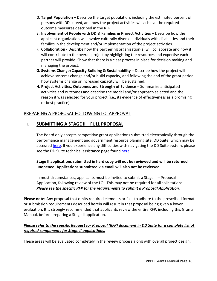- **D. Target Population** Describe the target population, including the estimated percent of persons with DD served, and how the project activities will achieve the required outcome measures described in the RFP.
- **E. Involvement of People with DD & Families in Project Activities** Describe how the applicant organization will involve culturally diverse individuals with disabilities and their families in the development and/or implementation of the project activities.
- **F. Collaboration**  Describe how the partnering organization(s) will collaborate and how it will contribute to the overall project by highlighting the resources and expertise each partner will provide. Show that there is a clear process in place for decision making and managing the project.
- **G. Systems Change/Capacity Building & Sustainability** Describe how the project will achieve systems change and/or build capacity, and following the end of the grant period, how systems change or increased capacity will be sustained.
- **H. Project Activities, Outcomes and Strength of Evidence** Summarize anticipated activities and outcomes and describe the model and/or approach selected and the reason it was selected for your project (i.e., its evidence of effectiveness as a promising or best practice).

# PREPARING A PROPOSAL FOLLOWING LOI APPROVAL

# **II. SUBMITTING A STAGE II – FULL PROPOSAL**

The Board only accepts competitive grant applications submitted electronically through the performance management and government resource planning site, DD Suite, which may be accessed [here.](https://www.ddsuite.org/) If you experience any difficulties with navigating the DD Suite system, please see the DD Suite technical assistance page found [here.](https://www.ddsuite.org/TA)

**Stage II applications submitted in hard copy will not be reviewed and will be returned unopened. Applications submitted via email will also not be reviewed.**

In most circumstances, applicants must be invited to submit a Stage II – Proposal Application, following review of the LOI. This may not be required for all solicitations. *Please see the specific RFP for the requirements to submit a Proposal Application.* 

**Please note:** Any proposal that omits required elements or fails to adhere to the prescribed format or submission requirements described herein will result in that proposal being given a lower evaluation. It is strongly recommended that applicants review the entire RFP, including this Grants Manual, before preparing a Stage II application.

## *Please refer to the specific Request for Proposal (RFP) document in DD Suite for a complete list of required components for Stage II applications.*

These areas will be evaluated completely in the review process along with overall project design.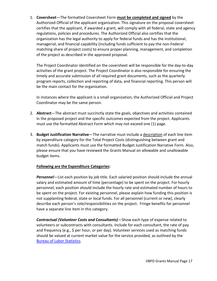1. **Coversheet**—The formatted Coversheet Form **must be completed and signed** by the Authorized Official of the applicant organization. This signature on the proposal coversheet certifies that the applicant, if awarded a grant, will comply with all federal, state and agency regulations, policies and procedures. The Authorized Official also certifies that the organization has the legal authority to apply for federal funds and has the institutional, managerial, and financial capability (including funds sufficient to pay the non-Federal matching share of project costs) to ensure proper planning, management, and completion of the project as described in the approved proposal.

The Project Coordinator identified on the coversheet will be responsible for the day-to-day activities of the grant project. The Project Coordinator is also responsible for ensuring the timely and accurate submission of all required grant documents, such as the quarterly program reports, collection and reporting of data, and financial reporting. This person will be the main contact for the organization.

In instances where the applicant is a small organization, the Authorized Official and Project Coordinator may be the same person.

- 2. **Abstract**—The abstract must succinctly state the goals, objectives and activities contained in the proposed project and the specific outcomes expected from the project. Applicants must use the formatted Abstract Form which may not exceed one (1) page.
- 3. **Budget Justification Narrative**—The narrative must include a description of each line item by expenditure category for the Total Project Costs (distinguishing between grant and match funds). Applicants must use the formatted Budget Justification Narrative Form. Also, please ensure that you have reviewed the Grants Manual on allowable and unallowable budget items.

#### **Following are the Expenditure Categories:**

*Personnel*—List each position by job title. Each salaried position should include the annual salary and estimated amount of time (percentage) to be spent on the project. For hourly personnel, each position should include the hourly rate and estimated number of hours to be spent on the project. For existing personnel, please explain how funding this position is not supplanting federal, state or local funds. For all personnel (current or new), clearly describe each person's role/responsibilities on the project. Fringe benefits for personnel have a separate line item in this category.

*Contractual (Volunteer Costs and Consultants)*—Show each type of expense related to volunteers or subcontracts with consultants. Include for each consultant, the rate of pay and frequency (e.g., \$ per hour, or per day). Volunteer services used as matching funds should be valued at current market value for the service provided, as outlined by the [Bureau of Labor Statistics.](https://www.bls.gov/oes/current/oes_nat.htm)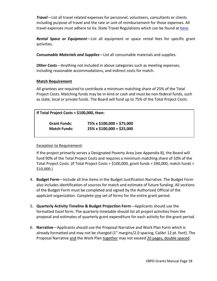*Travel*—List all travel related expenses for personnel, volunteers, consultants or clients including purpose of travel and the rate or unit of reimbursement for those expenses. All travel expenses must adhere to Va. State Travel Regulations which can be found at [here.](https://www.doa.virginia.gov/reference/CAPP/CAPP_Topics_Cardinal/20335-2019-July.pdf)

*Rental Space or Equipment*—List all equipment or space rental fees for specific grant activities.

*Consumable Materials and Supplies*—List all consumable materials and supplies.

*Other Costs*—Anything not included in above categories such as meeting expenses, including reasonable accommodations, and indirect costs for match.

#### **Match Requirement**

All grantees are required to contribute a minimum matching share of 25% of the Total Project Costs. Matching funds may be in-kind or cash and must be non-federal funds, such as state, local or private funds. The Board will fund up to 75% of the Total Project Costs.

| If Total Project Costs = \$100,000, then: |                                  |  |  |  |  |
|-------------------------------------------|----------------------------------|--|--|--|--|
| <b>Grant Funds:</b>                       | $75\% \times $100,000 = $75,000$ |  |  |  |  |
| <b>Match Funds:</b>                       | $25\% \times $100,000 = $25,000$ |  |  |  |  |

#### Exception to Requirement:

If the project primarily serves a Designated Poverty Area (see Appendix B), the Board will fund 90% of the Total Project Costs and requires a minimum matching share of 10% of the Total Project Costs. (If Total Project Costs = \$100,000, grant funds = \$90,000, match funds = \$10,000.)

- 4. **Budget Form**—Include all line items in the Budget Justification Narrative. The Budget Form also includes identification of sources for match and estimate of future funding. All sections of the Budget Form must be completed and signed by the Authorized Official of the applicant organization. Complete one set of forms for the entire grant period.
- 5. **Quarterly Activity Timeline & Budget Projection Form**—Applicants should use the formatted Excel form. The quarterly timetable should list all project activities from the proposal and estimates of quarterly grant expenditure for each activity for the grant period.
- 6. **Narrative**—Applicants should use the Proposal Narrative and Work Plan Form which is already formatted and may not be changed (1" margins/2.0 spacing, Calibri 12 pt. font). The Proposal Narrative and the Work Plan together may not exceed 20 pages, double spaced.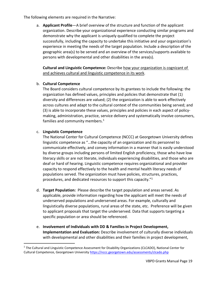The following elements are required in the Narrative:

a. **Applicant Profile**—A brief overview of the structure and function of the applicant organization. Describe your organizational experience conducting similar programs and demonstrate why the applicant is uniquely qualified to complete the project successfully, including the capacity to undertake this initiative and your organization's experience in meeting the needs of the target population. Include a description of the geographic area(s) to be served and an overview of the services/supports available to persons with developmental and other disabilities in the area(s).

**Cultural and Linguistic Competence:** Describe how your organization is cognizant of and achieves cultural and linguistic competence in its work.

#### b. **Cultural Competence**

The Board considers cultural competence by its grantees to include the following: the organization has defined values, principles and policies that demonstrate that (1) diversity and differences are valued; (2) the organization is able to work effectively across cultures and adapt to the cultural context of the communities being served; and (3) is able to incorporate these values, principles and policies in each aspect of policymaking, administration, practice, service delivery and systematically involve consumers, families and community members.<sup>[1](#page-18-0)</sup>

#### c. **Linguistic Competence**

The National Center for Cultural Competence (NCCC) at Georgetown University defines linguistic competence as "…the capacity of an organization and its personnel to communicate effectively, and convey information in a manner that is easily understood by diverse groups including persons of limited English proficiency, those who have low literacy skills or are not literate, individuals experiencing disabilities, and those who are deaf or hard of hearing. Linguistic competence requires organizational and provider capacity to respond effectively to the health and mental health literacy needs of populations served. The organization must have policies, structures, practices, procedures, and dedicated resources to support this capacity."1

- d. **Target Population:** Please describe the target population and areas served. As applicable, provide information regarding how the applicant will meet the needs of underserved populations and underserved areas. For example, culturally and linguistically diverse populations, rural areas of the state, etc. Preference will be given to applicant proposals that target the underserved. Data that supports targeting a specific population or area should be referenced.
- e. **Involvement of Individuals with DD & Families in Project Development, Implementation and Evaluation:** Describe involvement of culturally diverse individuals with developmental and other disabilities and their families in project development,

<span id="page-18-0"></span><sup>&</sup>lt;sup>1</sup> The Cultural and Linguistic Competence Assessment for Disability Organizations (CLCADO), National Center for Cultural Competence, Georgetown University<https://nccc.georgetown.edu/assessments/clcado.php>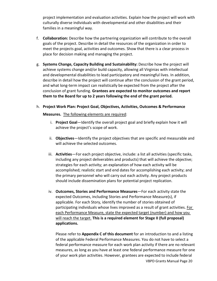project implementation and evaluation activities. Explain how the project will work with culturally diverse individuals with developmental and other disabilities and their families in a meaningful way.

- f. **Collaboration:** Describe how the partnering organization will contribute to the overall goals of the project. Describe in detail the resources of the organization in order to meet the projects goal, activities and outcomes. Show that there is a clear process in place for decision making and managing the project.
- g. **Systems Change, Capacity Building and Sustainability:** Describe how the project will achieve systems change and/or build capacity, allowing all Virginias with intellectual and developmental disabilities to lead participatory and meaningful lives. In addition, describe in detail how the project will continue after the conclusion of the grant period, and what long-term impact can realistically be expected from the project after the conclusion of grant funding. **Grantees are expected to monitor outcomes and report them to the Board for up to 2 years following the end of the grant period.**
- h. **Project Work Plan: Project Goal, Objectives, Activities, Outcomes & Performance**

**Measures.** The following elements are required:

- i. **Project Goal**—Identify the overall project goal and briefly explain how it will achieve the project's scope of work.
- ii. **Objectives**—Identify the project objectives that are specific and measurable and will achieve the selected outcomes.
- iii. **Activities**—For each project objective, include: a list all activities (specific tasks, including any project deliverables and products) that will achieve the objective; strategies for each activity; an explanation of how each activity will be accomplished; realistic start and end dates for accomplishing each activity; and the primary personnel who will carry out each activity. Any project products should include dissemination plans for potential project replication.
- iv. **Outcomes, Stories and Performance Measures**—For each activity state the expected Outcomes, including Stories and Performance Measure(s), if applicable. For each Story, identify the number of stories obtained of participating individuals whose lives improved as a result of grant activities. For each Performance Measure, state the expected target (number) and how you will reach the target. **This is a required element for Stage II (full proposal) applications.**

VBPD Grants Manual Page 20 Please refer to **Appendix C of this document** for an introduction to and a listing of the applicable Federal Performance Measures. You do not have to select a federal performance measure for each work plan activity if there are no relevant measures, as long as you have at least one federal performance measure for one of your work plan activities. However, grantees are expected to include federal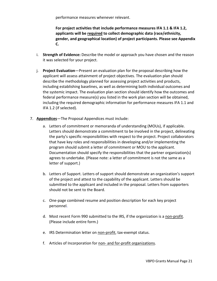performance measures whenever relevant.

**For project activities that include performance measures IFA 1.1 & IFA 1.2, applicants will be required to collect demographic data (race/ethnicity, gender, and geographical location) of project participants. Please see Appendix C.** 

- i. **Strength of Evidence:** Describe the model or approach you have chosen and the reason it was selected for your project.
- j. **Project Evaluation**—Present an evaluation plan for the proposal describing how the applicant will assess attainment of project objectives. The evaluation plan should describe the methodology planned for assessing project activities and products, including establishing baselines, as well as determining both individual outcomes and the systemic impact. The evaluation plan section should identify how the outcomes and federal performance measure(s) you listed in the work plan section will be obtained, including the required demographic information for performance measures IFA 1.1 and IFA 1.2 (if selected).
- 7. **Appendices**—The Proposal Appendices must include:
	- a. Letters of commitment or memoranda of understanding (MOUs), if applicable. Letters should demonstrate a commitment to be involved in the project, delineating the party's specific responsibilities with respect to the project. Project collaborators that have key roles and responsibilities in developing and/or implementing the program should submit a letter of commitment or MOU to the applicant. Documentation should specify the responsibilities that the partner organization(s) agrees to undertake. (Please note: a letter of commitment is not the same as a letter of support.)
	- b. Letters of Support. Letters of support should demonstrate an organization's support of the project and attest to the capability of the applicant. Letters should be submitted to the applicant and included in the proposal. Letters from supporters should not be sent to the Board.
	- c. One-page combined resume and position description for each key project personnel.
	- d. Most recent Form 990 submitted to the IRS, if the organization is a non-profit. (Please include entire form.)
	- e. IRS Determination letter on non-profit, tax-exempt status.
	- f. Articles of Incorporation for non- and for-profit organizations.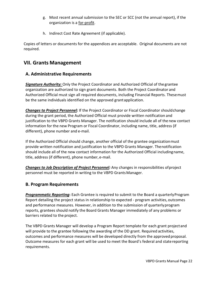- g. Most recent annual submission to the SEC or SCC (not the annual report), if the organization is a for-profit.
- h. Indirect Cost Rate Agreement (if applicable).

Copies of letters or documents for the appendices are acceptable. Original documents are not required.

# **VII. Grants Management**

## **A. Administrative Requirements**

*Signature Authority:* Only the Project Coordinator and Authorized Official of thegrantee organization are authorized to sign grant documents. Both the Project Coordinator and Authorized Official must sign all required documents, including Financial Reports. Thesemust be the same individuals identified on the approved grantapplication.

*Changes to Project Personnel:* If the Project Coordinator or Fiscal Coordinator shouldchange during the grant period, the Authorized Official must provide written notification and justification to the VBPD Grants Manager. The notification should include all of the new contact information for the new Program or Fiscal Coordinator, including name, title, address (if different), phone number and e-mail.

If the Authorized Official should change, another official of the grantee organizationmust provide written notification and justification to the VBPD Grants Manager. Thenotification should include all of the new contact information for the Authorized Official includingname, title, address (if different), phone number, e-mail.

*Changes to Job Description of Project Personnel:* Any changes in responsibilities ofproject personnel must be reported in writing to the VBPD GrantsManager.

### **B. Program Requirements**

*Programmatic Reporting***:** Each Grantee is required to submit to the Board a quarterlyProgram Report detailing the project status in relationship to expected - program activities, outcomes and performance measures. However, in addition to the submission of quarterlyprogram reports, grantees should notify the Board Grants Manager immediately of any problems or barriers related to the project.

The VBPD Grants Manager will develop a Program Report template for each grant projectand will provide to the grantee following the awarding of the DD grant. Required activities, outcomes and performance measures will be developed directly from the approved proposal. Outcome measures for each grant will be used to meet the Board's federal and statereporting requirements.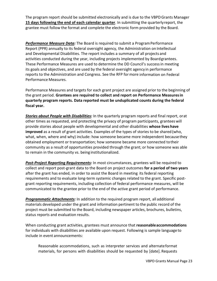The program report should be submitted electronically and is due to the VBPDGrants Manager **15 days following the end of each calendar quarter**. In submitting the quarterlyreport, the grantee must follow the format and complete the electronic form provided by the Board.

**Performance Measure Data:** The Board is required to submit a Program Performance Report (PPR) annually to its federal oversight agency, the Administration on Intellectual and Developmental Disabilities. The report includes a summary of all projects and activities conducted during the year, including projects implemented by Boardgrantees. These Performance Measures are used to determine the DD Council's successin meeting its goals and objectives, and are used by the federal oversight agency in performance reports to the Administration and Congress. See the RFP formore information on Federal Performance Measures.

Performance Measures and targets for each grant project are assigned prior to the beginning of the grant period. **Grantees are required to collect and report on Performance Measuresin quarterly program reports. Data reported must be unduplicated counts during the federal fiscal year.**

*Stories about People with Disabilities:* In the quarterly program reports and final report, orat other times as requested, and protecting the privacy of program participants, granteeswill provide stories about people with developmental and other disabilities **whose lives have improved** as a result of grant activities. Examples of the types of stories to be shared(who, what, when, where and why) include: how someone became more independent becausethey obtained employment or transportation; how someone became more connected totheir community as a result of opportunities provided through the grant; or how someone was able to remain in the community vs. being institutionalized.

*Post-Project Reporting Requirements:* In most circumstances, grantees will be required to collect and report post-grant data to the Board on project outcomes **for a period of two years** after the grant has ended, in order to assist the Board in meeting its federal reporting requirements and to evaluate long-term systemic changes related to the grant. Specific postgrant reporting requirements, including collection of federal performance measures, will be communicated to the grantee prior to the end of the active grant period of performance.

*Programmatic Attachments:* In addition to the required program report, all additional materials developed under the grant and information pertinent to the public record of the project must be submitted to the Board, including newspaper articles, brochures, bulletins, status reports and evaluation results.

When conducting grant activities, grantees must announce that **reasonableaccommodations** for individuals with disabilities are available upon request. Following is sample languageto include in event announcements:

Reasonable accommodations, such as interpreter services and alternateformat materials, for persons with disabilities should be requested by [date]. Requests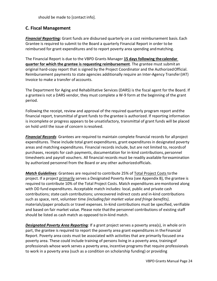should be made to [contact info].

## **C. Fiscal Management**

*Financial Reporting:* Grant funds are disbursed quarterly on a cost reimbursement basis.Each Grantee is required to submit to the Board a quarterly Financial Report in order to be reimbursed for grant expenditures and to report poverty area spending andmatching.

The Financial Report is due to the VBPD Grants Manager **15 days following thecalendar quarter for which the grantee is requesting reimbursement**. The grantee must submit an original hard-copy report that is signed by the Project Coordinator and the AuthorizedOfficial. Reimbursement payments to state agencies additionally require an Inter-Agency Transfer(IAT) Invoice to make a transfer of accounts.

The Department for Aging and Rehabilitative Services (DARS) is the fiscal agent for the Board. If a granteeis not a DARS vendor, they must complete a W-9 form at the beginning of the grant period.

Following the receipt, review and approval of the required quarterly program report andthe financial report, transmittal of grant funds to the grantee is authorized. If reporting information is incomplete or progress appears to be unsatisfactory, transmittal of grant funds will be placed on hold until the issue of concern isresolved.

*Financial Records*: Grantees are required to maintain complete financial records for allproject expenditures. These include total grant expenditures, grant expendituresin designated poverty areas and matching expenditures. Financial records include, but are not limited to, recordsof purchases, receipts for cash payments, documentation for in-kind contributions,personnel timesheets and payroll vouchers. All financial records must be readily available forexamination by authorized personnel from the Board or any other authorizedofficials.

*Match Guidelines*: Grantees are required to contribute 25% of Total Project Costs to the project. If a project primarily serves a Designated Poverty Area (see Appendix B), the grantee is required to contribute 10% of the Total Project Costs. Match expenditures aremonitored along with DD fund expenditures. Acceptable match includes: local, public and private cash contributions; state cash contributions; unrecovered indirect costs and in-kind contributions such as space, rent, volunteer time *(including fair market value and fringe benefits)*, materials/paper products or travel expenses. In-kind contributions must be specified, verifiable and based on fair market value. Please note thatthe personnel contributions of existing staff should be listed as cash match as opposed toin-kind match.

*Designated Poverty Area Reporting:* If a grant project serves a poverty area(s), in whole orin part, the grantee is required to report the poverty area grant expenditures in theFinancial Report. Poverty area costs must be associated with activities that are primarily focused ona poverty area. These could include training of persons living in a poverty area, trainingof professionals whose work serves a poverty area, incentive programs that require professionals to work in a poverty area (such as a condition on scholarship funding) or providing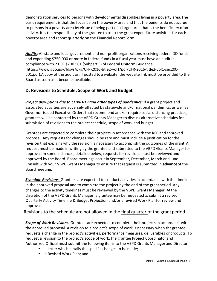demonstration services to persons with developmental disabilities living in a poverty area.The basic requirement is that the focus be on the poverty area and that the benefits do not accrue to persons in a poverty area by virtue of being part of a larger area that is the beneficiary ofan activity. It is the responsibility of the grantee to track the grant expenditure activities for each poverty area and report quarterly on the Financial Report Form.

*Audits*: All state and local government and non-profit organizations receiving federal DD funds and expending \$750,000 or more in federal funds in a fiscal year must have an audit in compliance with 2 CFR §200.501 (Subpart F) of Federal Uniform Guidance (https://www.gpo.gov/fdsys/pkg/CFR-2016-title2-vol1/pdf/CFR-2016-title2-vol1-sec200- 501.pdf).A copy of the audit or, if posted toa website, the website link must be provided to the Board as soon as it becomesavailable.

# **D. Revisions to Schedule, Scope of Work and Budget**

*Project disruptions due to COVID-19 and other types of pandemics***:** If a grant project and associated activities are adversely affected by statewide and/or national pandemics, as well as Governor-issued Executive Orders that recommend and/or require social distancing practices, grantees will be contacted by the VBPD Grants Manager to discuss alternative schedules for submission of revisions to the project schedule, scope of work and budget.

Grantees are expected to complete their projects in accordance with the RFP andapproved proposal. Any requests for changes should be rare and must include a justification forthe revision that explains why the revision is necessary to accomplish the outcomes of the grant.A request must be made in writing by the grantee and submitted to the VBPD Grants Manager for approval. In some instances, detailed below, requests for revisions must be reviewedand approved by the Board. Board meetings occur in September, December, March and June. Consult with your VBPD Grants Manager to ensure that request is submitted in **advance**of the Board meeting.

*Schedule Revisions.* Grantees are expected to conduct activities in accordance withthe timelines in the approved proposal and to complete the project by the end of the grantperiod. Any changes to the activity timelines must be reviewed by the VBPD Grants Manager. Atthe discretion of the VBPD Grants Manager, a grantee may be requestedto submit a revised Quarterly Activity Timeline & Budget Projection and/or a revised Work Planfor review and approval.

Revisions to the schedule are not allowed in the final quarter of the grant period.

**Scope of Work Revisions.** Grantees are expected to complete their projects in accordance with the approved proposal. A revision to a project's scope of work is necessary when thegrantee requests a change in the project's activities, performance measures, deliverables or products. To request a revision to the project's scope of work, the grantee Project Coordinator and Authorized Official must submit the following items to the VBPD Grants Manager and Director:

- a letter which details the specific changes to be made;
- a Revised Work Plan; and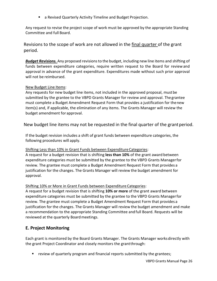a Revised Quarterly Activity Timeline and Budget Projection.

Any request to revise the project scope of work must be approved by the appropriate Standing Committee and full Board.

Revisions to the scope of work are not allowed in the final quarter of the grant period.

*Budget Revisions.* Any proposed revisions to the budget, including new line items and shifting of funds between expenditure categories, require written request to the Board for reviewand approval in advance of the grant expenditure. Expenditures made without such prior approval will not be reimbursed.

#### New Budget Line Items:

Any requests for new budget line items, not included in the approved proposal, mustbe submitted by the grantee to the VBPD Grants Manager for review and approval. Thegrantee must complete a Budget Amendment Request Form that provides a justification for thenew item(s) and, if applicable, the elimination of any items. The Grants Manager will review the budget amendment for approval.

New budget line items may not be requested in the final quarter of the grantperiod.

If the budget revision includes a shift of grant funds between expenditure categories, the following procedures will apply.

### Shifting Less than 10% in Grant Funds between ExpenditureCategories:

A request for a budget revision that is shifting **less than 10%** of the grant award between expenditure categories must be submitted by the grantee to the VBPD Grants Managerfor review. The grantee must complete a Budget Amendment Request Form that provides a justification for the changes. The Grants Manager will review the budget amendment for approval.

### Shifting 10% or More in Grant Funds between Expenditure Categories:

A request for a budget revision that is shifting **10% or more** of the grant award between expenditure categories must be submitted by the grantee to the VBPD Grants Managerfor review. The grantee must complete a Budget Amendment Request Form that provides a justification for the changes. The Grants Manager will review the budget amendment and make a recommendation to the appropriate Standing Committee andfull Board. Requests will be reviewed at the quarterly Board meetings.

# **E. Project Monitoring**

Each grant is monitored by the Board Grants Manager. The Grants Manager worksdirectly with the grant Project Coordinator and closely monitors the grantthrough:

**•** review of quarterly program and financial reports submitted by the grantees;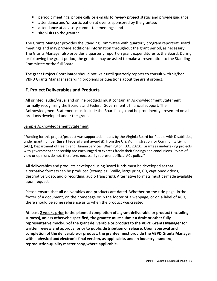- **Periodic meetings, phone calls or e-mails to review project status and provide guidance;**
- attendance and/or participation at events sponsored by the grantee;
- **E** attendance at advisory committee meetings; and
- site visits to the grantee.

The Grants Manager provides the Standing Committee with quarterly program reportsat Board meetings and may provide additional information throughout the grant period, as necessary. The Grants Manager also provides a quarterly report on grant expenditures tothe Board. During or following the grant period, the grantee may be asked to make apresentation to the Standing Committee or the full Board.

The grant Project Coordinator should not wait until quarterly reports to consult withhis/her VBPD Grants Manager regarding problems or questions about the grant project.

## **F. Project Deliverables and Products**

All printed, audio/visual and online products must contain an Acknowledgment Statement formally recognizing the Board's and Federal Government's financial support. The Acknowledgment Statementmustinclude the Board's logo and be prominently presented on all products developed under the grant.

#### Sample Acknowledgement Statement

"Funding for this project/product was supported, in part, by the Virginia Board for People with Disabilities, under grant number **(insert federal grant award #)**, from the U.S. Administration for Community Living (ACL), Department of Health and Human Services, Washington, D.C. 20201. Grantees undertaking projects with government sponsorship are encouraged to express freely their findings and conclusions. Points of view or opinions do not, therefore, necessarily represent official ACL policy."

All deliverables and products developed using Board funds must be developed sothat alternative formats can be produced (examples: Braille, large print, CD, captionedvideos, descriptive video, audio recording, audio transcript). Alternative formats must bemade available upon request.

Please ensure that all deliverables and products are dated. Whether on the title page, inthe footer of a document, on the homepage or in the footer of a webpage, or on a label of aCD, there should be some reference as to when the product was created.

**At least 2 weeks prior to the planned completion of a grant deliverable or product (including surveys),unless otherwise specified, the grantee must submit a draft or other fully representative mock-upof the grant deliverable or product to the VBPD Grants Manager for written review and approval prior to public distribution or release. Upon approval and completion of the deliverable or product, the grantee must provide the VBPD Grants Manager with a physical andelectronic final version, as applicable, and an industry-standard, reproduction-quality master copy,where applicable.**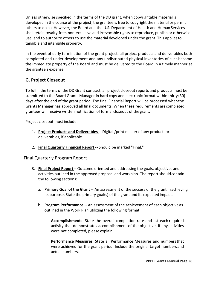Unless otherwise specified in the terms of the DD grant, when copyrightable material is developed in the course of the project, the grantee is free to copyright the material or permit others to do so. However, the Board and the U.S. Department of Health and Human Services shall retain royalty-free, non-exclusive and irrevocable rights to reproduce, publish or otherwise use, and to authorize others to use the material developed under the grant. This appliesto tangible and intangible property.

In the event of early termination of the grant project, all project products and deliverables both completed and under development and any undistributed physical inventories of such become the immediate property of the Board and must be delivered to the Board in a timely manner at the grantee's expense.

# **G. Project Closeout**

To fulfill the terms of the DD Grant contract, all project closeout reports and products must be submitted to the Board Grants Manager in hard copy and electronic format within thirty (30) days after the end of the grant period. The final Financial Report will be processed whenthe Grants Manager has approved all final documents. When these requirements arecompleted, grantees will receive written notification of formal closeout of the grant.

Project closeout must include:

- 1. **Project Products and Deliverables** -- Digital /print master of any productsor deliverables, if applicable.
- 2. **Final Quarterly Financial Report** -- Should be marked "Final."

### Final Quarterly Program Report

- 3. **Final Project Report**  Outcome oriented and addressing the goals, objectives and activities outlined in the approved proposal and workplan. The report shouldcontain the following sections:
	- a. **Primary Goal of the Grant** -- An assessment of the success of the grant inachieving its purpose. State the primary goal(s) of the grant and its expected impact.
	- b. **Program Performance** -- An assessment of the achievement of each objective as outlined in the Work Plan utilizing the following format:

**Accomplishments**: State the overall completion rate and list each required activity that demonstrates accomplishment of the objective. If any activities were not completed, please explain.

**Performance Measures**: State all Performance Measures and numbersthat were achieved for the grant period. Include the original target numbers and actual numbers.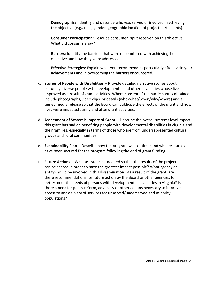**Demographics**: Identify and describe who was served or involved inachieving the objective (e.g., race, gender, geographic location of project participants).

**Consumer Participation**: Describe consumer input received on thisobjective. What did consumers say?

**Barriers**: Identify the barriers that were encountered with achievingthe objective and how they were addressed.

**Effective Strategies**: Explain what you recommend as particularly effectivein your achievements and in overcoming the barriers encountered.

- c. **Stories of People with Disabilities --** Provide detailed narrative stories about culturally diverse people with developmental and other disabilities whose lives improved as a result ofgrant activities. Where consent of the participant is obtained, include photographs, video clips, or details (who/what/when/why/where) and a signed media release sothat the Board can publicize the effects of the grant and how lives were impactedduring and after grant activities.
- d. **Assessment of Systemic Impact of Grant --** Describe the overall systems level impact this grant has had on benefiting people with developmental disabilities inVirginia and their families, especially in terms of those who are from underrepresented cultural groups and rural communities.
- e. **Sustainability Plan --** Describe how the program will continue and whatresources have been secured for the program following the end of grant funding.
- f. **Future Actions --** What assistance is needed so that the results of the project can be shared in order to have the greatest impact possible? What agency or entity should be involved in this dissemination? As a result of the grant, are there recommendations for future action by the Board or other agencies to bettermeet the needs of persons with developmental disabilities in Virginia? Is there a need for policy reform, advocacy or other actions necessary to improve access to and delivery of services for unserved/underserved and minority populations?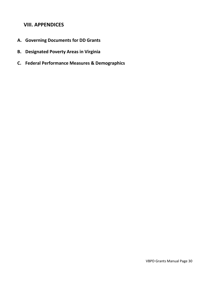# **VIII. APPENDICES**

- **A. Governing Documents for DD Grants**
- **B. Designated Poverty Areas in Virginia**
- **C. Federal Performance Measures & Demographics**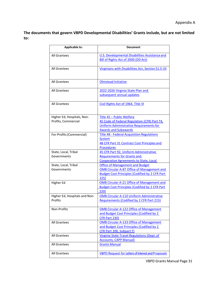**The documents that govern VBPD Developmental Disabilities' Grants include, but are not limited to:**

| <b>Applicable to:</b>                             | <b>Document</b>                                                                                                                                              |
|---------------------------------------------------|--------------------------------------------------------------------------------------------------------------------------------------------------------------|
| All Grantees                                      | U.S. Developmental Disabilities Assistance and<br><b>Bill of Rights Act of 2000 (DD Act)</b>                                                                 |
| <b>All Grantees</b>                               | Virginians with Disabilities Act, Section 51.5-33                                                                                                            |
| All Grantees                                      | <b>Olmstead Initiative</b>                                                                                                                                   |
| All Grantees                                      | 2022-2026 Virginia State Plan and<br>subsequent annual updates                                                                                               |
| All Grantees                                      | Civil Rights Act of 1964, Title VI                                                                                                                           |
| Higher Ed, Hospitals, Non-<br>Profits, Commercial | Title 45 - Public Welfare<br>45 Code of Federal Regulation (CFR) Part 74,<br>Uniform Administrative Requirements for<br><b>Awards and Subawards</b>          |
| For-Profits (Commercial)                          | <b>Title 48 - Federal Acquisition Regulations</b><br>System<br>48 CFR Part 31 Contract Cost Principles and<br><b>Procedures</b>                              |
| State, Local, Tribal<br>Governments               | 45 CFR Part 92, Uniform Administrative<br><b>Requirements for Grants and</b><br><b>Cooperative Agreements to State, Local</b>                                |
| State, Local, Tribal<br>Governments               | <b>Office of Management and Budget</b><br><b>OMB Circular A-87 Office of Management and</b><br><b>Budget Cost Principles (Codified by 2 CFR Part</b><br>225) |
| Higher Ed                                         | <b>OMB Circular A-21 Office of Management and</b><br><b>Budget Cost Principles (Codified by 2 CFR Part</b><br>220)                                           |
| Higher Ed, Hospitals and Non-<br>Profits          | <b>OMB Circular A-110 Uniform Administrative</b><br>Requirements (Codified by 2 CFR Part 215)                                                                |
| Non-Profits                                       | <b>OMB Circular A-122 Office of Management</b><br>and Budget Cost Principles (Codified by 2<br>CFR Part 230)                                                 |
| <b>All Grantees</b>                               | <b>OMB Circular A-133 Office of Management</b><br>and Budget Cost Principles (Codified by 2<br>CFR Part 200, Subpart F)                                      |
| <b>All Grantees</b>                               | Virginia State Travel Regulations (Dept. of<br><b>Accounts, CAPP Manual)</b>                                                                                 |
| All Grantees                                      | <b>Grants Manual</b>                                                                                                                                         |
| All Grantees                                      | VBPD Request for Letters of Interest and Proposals                                                                                                           |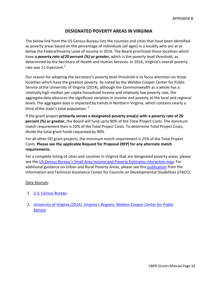#### **DESIGNATED POVERTY AREAS INVIRGINIA**

The below link from the US Census Bureau lists the counties and cities that have been identified as poverty areas based on the percentage of individuals (all ages) in a locality who are at or below the FederalPoverty Level of income in 2016. The Board prioritized those localities which have **a** *poverty rate of20 percent (%) or greater,* which is the poverty level threshold, as determined by the Secretary of Health and Human Services. In 2016, Virginia's overall poverty rate was 11.0 percent.<sup>1</sup>

Our reason for adopting the Secretary's poverty level threshold is to focus attention on those localities which have the greatest poverty. As noted by the Weldon Cooper Center for Public Service atthe University of Virginia (2014), although the Commonwealth as a whole has a relativelyhigh median per capita household income and relatively low poverty rate, the aggregate data obscures the significant variation in income and poverty at the local and regional levels.The aggregate data is impacted by trends in Northern Virginia, which contains nearly a third of the state's total population.<sup>2</sup>

If the grant project **primarily serves a designated poverty area(s) with a poverty rate of 20 percent (%) or greater,** the Board will fund upto 90% of the Total Project Costs. The minimum match requirement then is 10% of the Total Project Costs. To determine Total Project Costs, divide the total grant funds requested by 90%.

For all other DD grant projects, the minimum match requirement is 25% of the Total Project Costs. **Please see the applicable Request for Proposal (RFP) for any alternate match requirements.**

For a complete listing of cities and counties in Virginia that are designated poverty areas, please see the US Census [Bureau's Small Area Income and Poverty Estimates interactive map.](https://www.census.gov/data-tools/demo/saipe/#/?map_geoSelector=aa_c) For additional guidance on Urban and Rural Poverty Areas, please see thi[s publication](https://itacchelp.org/wp-content/uploads/2018/04/Urban-and-Rural-Poverty-Areas-updated-2018.pdf) from the Information and Technical Assistance Center for Councils on Developmental Disabilities (iTACC).

#### Data Sources:

- 1. [U.S. Census Bureau](https://www.census.gov/data-tools/demo/saipe/saipe.html?s_appName=saipe&map_yearSelector=2016&map_geoSelector=aa_c&s_state=51&menu=grid_proxy&s_inclStTot=y)
- 2. University of Virginia (2014). *Virginia's Regions.* [Weldon Cooper Center for Public](https://demographics.coopercenter.org/sites/demographics/files/RegionalProfiles_28July2014_0.pdf)  **[Service](https://demographics.coopercenter.org/sites/demographics/files/RegionalProfiles_28July2014_0.pdf)**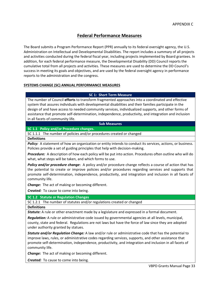## **Federal Performance Measures**

The Board submits a Program Performance Report (PPR) annually to its federal oversight agency, the U.S. Administration on Intellectual and Developmental Disabilities. The report includes a summary of all projects and activities conducted during the federal fiscal year, including projects implemented by Board grantees. In addition, for each federal performance measure, the Developmental Disability (DD) Council reports the cumulative total from all projects and activities. These measures are used to determine the DD Council's success in meeting its goals and objectives, and are used by the federal oversight agency in performance reports to the administration and the congress.

#### **SYSTEMS CHANGE (SC) ANNUAL PERFORMANCE MEASURES**

#### **SC 1: Short Term Measure**

The number of Council **efforts** to transform fragmented approaches into a coordinated and effective system that assures individuals with developmental disabilities and their families participate in the design of and have access to needed community services, individualized supports, and other forms of assistance that promote self-determination, independence, productivity, and integration and inclusion in all facets of community life.

#### **Sub Measures**

#### **SC 1.1 Policy and/or Procedure changes.**

SC 1.1.1 The number of policies and/or procedures created or changed

**Definitions**

**Policy:** A statement of how an organization or entity intends to conduct its services, actions, or business. Policies provide a set of guiding principles that help with decision-making.

*Procedure:* A description of how each policy will be put into action. Procedures often outline who will do what, what steps will be taken, and which forms to use.

*Policy and/or procedure change***:** A policy and/or procedure change reflects a course of action that has the potential to create or improve policies and/or procedures regarding services and supports that promote self-determination, independence, productivity, and integration and inclusion in all facets of community life.

*Change:* The act of making or becoming different.

*Created:* To cause to come into being.

**SC 1.2 Statute or Regulation Changes**

SC 1.2.1 The number of statutes and/or regulations created or changed

**Definitions**

*Statute:* A rule or other enactment made by a legislature and expressed in a formal document.

*Regulation:* A rule or administrative code issued by governmental agencies at all levels, municipal, county, state and federal. Regulations are not laws but have the force of law since they are adopted under authority granted by statues.

*Statute and/or Regulation Change:* A law and/or rule or administrative code that has the potential to improve laws, rules, or administrative codes regarding services, supports, and other assistance that promote self-determination, independence, productivity, and integration and inclusion in all facets of community life.

*Change:* The act of making or becoming different.

*Created:* To cause to come into being.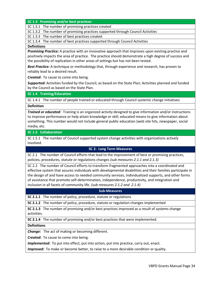#### **SC 1.3 Promising and/or best practices**

SC 1.3.1 The number of promising practices created

SC 1.3.2 The number of promising practices supported through Council Activities

SC 1.3.3 The number of best practices created

SC 1.3.4 The number of best practices supported through Council Activities

#### **Definitions**

*Promising Practice:* A practice with an innovative approach that improves upon existing practice and positively impacts the area of practice. The practice should demonstrate a high degree of success and the possibility of replication in other areas of settings but has not been tested.

*Best Practice:* A technique or methodology that, through experience and research, has proven to reliably lead to a desired result.

*Created***:** To cause to come into being.

*Supported:* Activities funded by the Council, as based on the State Plan; Activities planned and funded by the Council as based on the State Plan.

#### **SC 1.4 Training/Education**

SC 1.4.1 The number of people trained or educated through Council systemic change initiatives

#### **Definition**

*Trained or educated:* Training is an organized activity designed to give information and/or instructions to improve performance or help attain knowledge or skill; educated means to give information about something. This number would not include general public education (web site hits, newspaper, social media, etc.

#### **SC 1.5 Collaboration**

SC 1.5.1 The number of Council supported system change activities with organizations actively involved.

#### **SC 2: Long Term Measures**

SC 2.1 The number of Council efforts that lead to the improvement of best or promising practices, policies, procedures, statute or regulations changes *(sub measures 2.1.1 and 2.1.3)*

SC 2.2 The number of Council efforts to transform fragmented approaches into a coordinated and effective system that assures individuals with developmental disabilities and their families participate in the design of and have access to needed community services, individualized supports, and other forms of assistance that promote self-determination, independence, productivity, and integration and inclusion in all facets of community life. *(sub measures 2.1.2 and 2.1.4)*

#### **Sub-Measures**

**SC 2.1.1** The number of policy, procedure, statute or regulations

**SC 2.1.2** The number of policy, procedure, statute or regulation changes implemented

**SC 2.1.3** The number of promising and/or best practices improved as a result of systems change activities.

**SC 2.1.4** The number of promising and/or best practices that were implemented.

#### **Definitions**

*Change:* The act of making or becoming different.

*Created:* To cause to come into being.

*Implemented:* To put into effect, put into action, put into practice, carry out, enact.

*Improved:* To make or become better, to raise to a more desirable condition or quality.